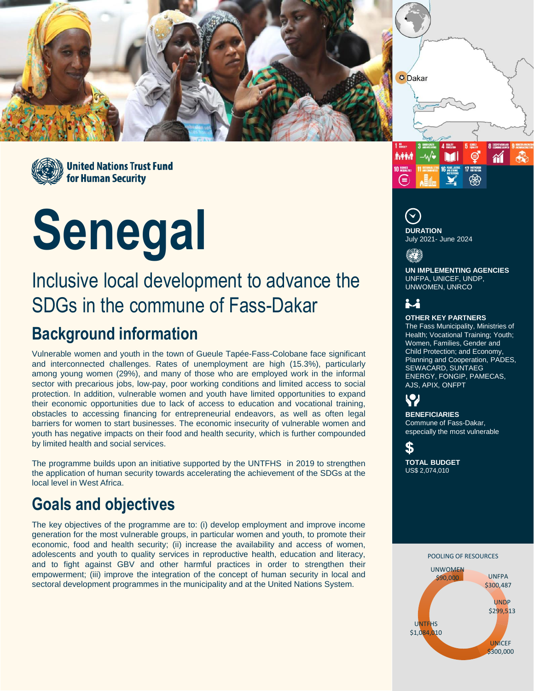



**United Nations Trust Fund** for Human Security

# **Senegal**

## Inclusive local development to advance the SDGs in the commune of Fass-Dakar

## **Background information**

Vulnerable women and youth in the town of Gueule Tapée-Fass-Colobane face significant and interconnected challenges. Rates of unemployment are high (15.3%), particularly among young women (29%), and many of those who are employed work in the informal sector with precarious jobs, low-pay, poor working conditions and limited access to social protection. In addition, vulnerable women and youth have limited opportunities to expand their economic opportunities due to lack of access to education and vocational training, obstacles to accessing financing for entrepreneurial endeavors, as well as often legal barriers for women to start businesses. The economic insecurity of vulnerable women and youth has negative impacts on their food and health security, which is further compounded by limited health and social services.

The programme builds upon an initiative supported by the UNTFHS in 2019 to strengthen the application of human security towards accelerating the achievement of the SDGs at the local level in West Africa.

## **Goals and objectives**

The key objectives of the programme are to: (i) develop employment and improve income generation for the most vulnerable groups, in particular women and youth, to promote their economic, food and health security; (ii) increase the availability and access of women, adolescents and youth to quality services in reproductive health, education and literacy, and to fight against GBV and other harmful practices in order to strengthen their empowerment; (iii) improve the integration of the concept of human security in local and sectoral development programmes in the municipality and at the United Nations System.





**O** Dakar

July 2021- June 2024

**UN IMPLEMENTING AGENCIES** UNFPA, UNICEF, UNDP, UNWOMEN, UNRCO

### **i.i**

#### **OTHER KEY PARTNERS**

The Fass Municipality, Ministries of Health; Vocational Training; Youth; Women, Families, Gender and Child Protection; and Economy, Planning and Cooperation, PADES, SEWACARD, SUNTAEG ENERGY, FONGIP, PAMECAS, AJS, APIX, ONFPT

## $\mathbf{Q}$

**BENEFICIARIES** Commune of Fass-Dakar, especially the most vulnerable

#### \$

**TOTAL BUDGET** US\$ 2,074,010

#### UNFPA \$300,487 UNDP \$299,513 UNICEF \$300,000 UNTFHS \$1,084,010 **UNWOMEN** \$90,000 POOLING OF RESOURCES